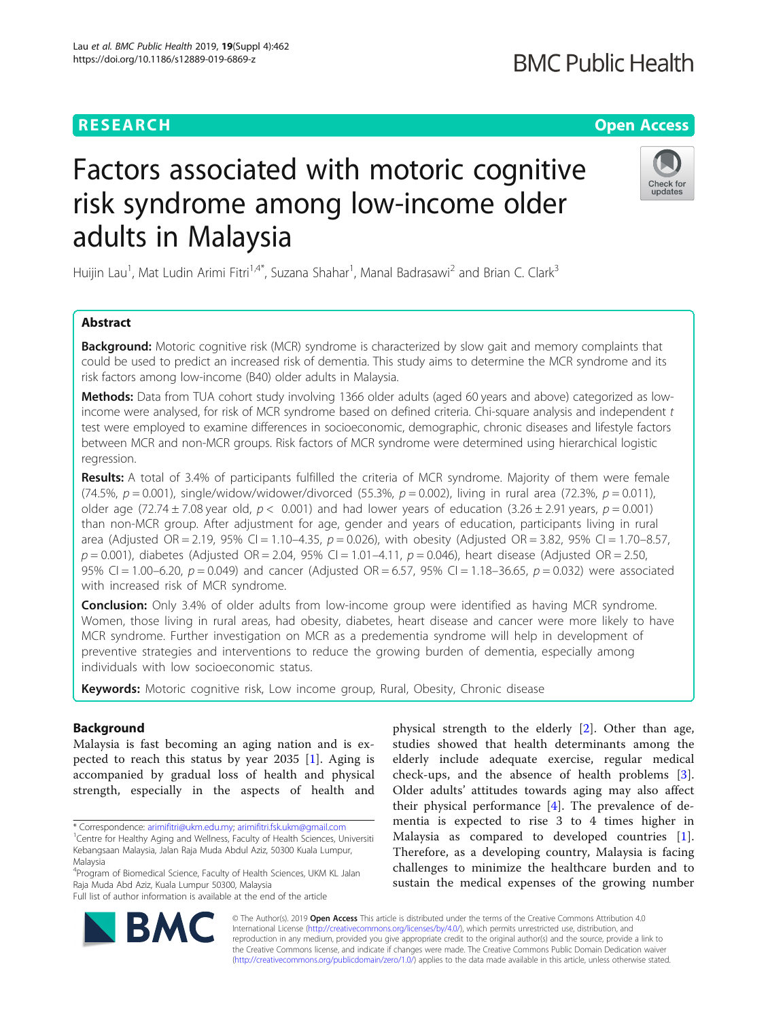# **RESEARCH CHINESE ARCH CHINESE ARCHITECT AND ACCESS**

# Factors associated with motoric cognitive risk syndrome among low-income older adults in Malaysia

Huijin Lau<sup>1</sup>, Mat Ludin Arimi Fitri<sup>1,4\*</sup>, Suzana Shahar<sup>1</sup>, Manal Badrasawi<sup>2</sup> and Brian C. Clark<sup>3</sup>

# Abstract

**Background:** Motoric cognitive risk (MCR) syndrome is characterized by slow gait and memory complaints that could be used to predict an increased risk of dementia. This study aims to determine the MCR syndrome and its risk factors among low-income (B40) older adults in Malaysia.

Methods: Data from TUA cohort study involving 1366 older adults (aged 60 years and above) categorized as lowincome were analysed, for risk of MCR syndrome based on defined criteria. Chi-square analysis and independent t test were employed to examine differences in socioeconomic, demographic, chronic diseases and lifestyle factors between MCR and non-MCR groups. Risk factors of MCR syndrome were determined using hierarchical logistic regression.

Results: A total of 3.4% of participants fulfilled the criteria of MCR syndrome. Majority of them were female (74.5%,  $p = 0.001$ ), single/widow/widower/divorced (55.3%,  $p = 0.002$ ), living in rural area (72.3%,  $p = 0.011$ ), older age (72.74  $\pm$  7.08 year old,  $p < 0.001$ ) and had lower years of education (3.26  $\pm$  2.91 years,  $p = 0.001$ ) than non-MCR group. After adjustment for age, gender and years of education, participants living in rural area (Adjusted OR = 2.19, 95% CI = 1.10–4.35,  $p = 0.026$ ), with obesity (Adjusted OR = 3.82, 95% CI = 1.70–8.57,  $p = 0.001$ ), diabetes (Adjusted OR = 2.04, 95% CI = 1.01–4.11,  $p = 0.046$ ), heart disease (Adjusted OR = 2.50, 95% CI = 1.00-6.20,  $p = 0.049$ ) and cancer (Adjusted OR = 6.57, 95% CI = 1.18-36.65,  $p = 0.032$ ) were associated with increased risk of MCR syndrome.

Conclusion: Only 3.4% of older adults from low-income group were identified as having MCR syndrome. Women, those living in rural areas, had obesity, diabetes, heart disease and cancer were more likely to have MCR syndrome. Further investigation on MCR as a predementia syndrome will help in development of preventive strategies and interventions to reduce the growing burden of dementia, especially among individuals with low socioeconomic status.

Keywords: Motoric cognitive risk, Low income group, Rural, Obesity, Chronic disease

# Background

Malaysia is fast becoming an aging nation and is expected to reach this status by year 2035 [[1](#page-5-0)]. Aging is accompanied by gradual loss of health and physical strength, especially in the aspects of health and

\* Correspondence: [arimifitri@ukm.edu.my;](mailto:arimifitri@ukm.edu.my) [arimifitri.fsk.ukm@gmail.com](mailto:arimifitri.fsk.ukm@gmail.com) <sup>1</sup>

Full list of author information is available at the end of the article

**BM** 

physical strength to the elderly [\[2](#page-5-0)]. Other than age, studies showed that health determinants among the elderly include adequate exercise, regular medical check-ups, and the absence of health problems [\[3](#page-5-0)]. Older adults' attitudes towards aging may also affect their physical performance  $[4]$  $[4]$ . The prevalence of dementia is expected to rise 3 to 4 times higher in Malaysia as compared to developed countries [[1](#page-5-0)]. Therefore, as a developing country, Malaysia is facing challenges to minimize the healthcare burden and to sustain the medical expenses of the growing number

© The Author(s). 2019 **Open Access** This article is distributed under the terms of the Creative Commons Attribution 4.0 International License [\(http://creativecommons.org/licenses/by/4.0/](http://creativecommons.org/licenses/by/4.0/)), which permits unrestricted use, distribution, and reproduction in any medium, provided you give appropriate credit to the original author(s) and the source, provide a link to the Creative Commons license, and indicate if changes were made. The Creative Commons Public Domain Dedication waiver

[\(http://creativecommons.org/publicdomain/zero/1.0/](http://creativecommons.org/publicdomain/zero/1.0/)) applies to the data made available in this article, unless otherwise stated.





<sup>&</sup>lt;sup>1</sup> Centre for Healthy Aging and Wellness, Faculty of Health Sciences, Universiti Kebangsaan Malaysia, Jalan Raja Muda Abdul Aziz, 50300 Kuala Lumpur, Malaysia

<sup>4</sup> Program of Biomedical Science, Faculty of Health Sciences, UKM KL Jalan Raja Muda Abd Aziz, Kuala Lumpur 50300, Malaysia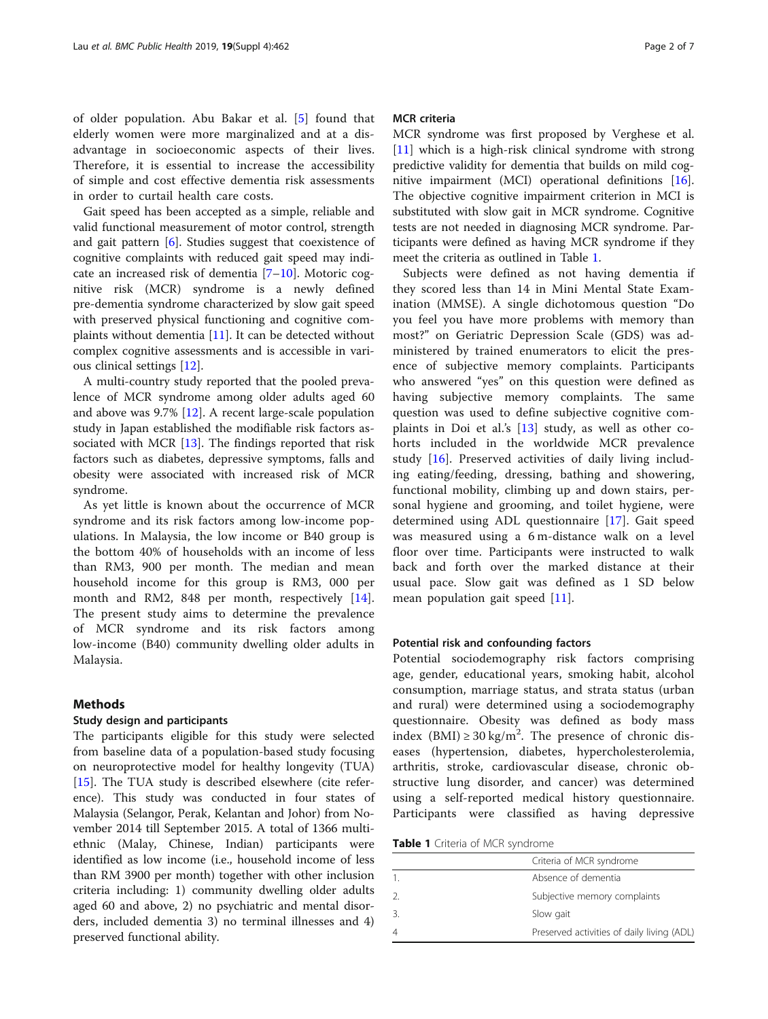of older population. Abu Bakar et al. [\[5](#page-5-0)] found that elderly women were more marginalized and at a disadvantage in socioeconomic aspects of their lives. Therefore, it is essential to increase the accessibility of simple and cost effective dementia risk assessments in order to curtail health care costs.

Gait speed has been accepted as a simple, reliable and valid functional measurement of motor control, strength and gait pattern [[6\]](#page-5-0). Studies suggest that coexistence of cognitive complaints with reduced gait speed may indicate an increased risk of dementia [\[7](#page-5-0)–[10](#page-5-0)]. Motoric cognitive risk (MCR) syndrome is a newly defined pre-dementia syndrome characterized by slow gait speed with preserved physical functioning and cognitive complaints without dementia  $[11]$  $[11]$ . It can be detected without complex cognitive assessments and is accessible in various clinical settings [[12\]](#page-5-0).

A multi-country study reported that the pooled prevalence of MCR syndrome among older adults aged 60 and above was 9.7% [\[12\]](#page-5-0). A recent large-scale population study in Japan established the modifiable risk factors associated with MCR  $[13]$  $[13]$ . The findings reported that risk factors such as diabetes, depressive symptoms, falls and obesity were associated with increased risk of MCR syndrome.

As yet little is known about the occurrence of MCR syndrome and its risk factors among low-income populations. In Malaysia, the low income or B40 group is the bottom 40% of households with an income of less than RM3, 900 per month. The median and mean household income for this group is RM3, 000 per month and RM2, 848 per month, respectively [\[14](#page-5-0)]. The present study aims to determine the prevalence of MCR syndrome and its risk factors among low-income (B40) community dwelling older adults in Malaysia.

# Methods

### Study design and participants

The participants eligible for this study were selected from baseline data of a population-based study focusing on neuroprotective model for healthy longevity (TUA) [[15\]](#page-5-0). The TUA study is described elsewhere (cite reference). This study was conducted in four states of Malaysia (Selangor, Perak, Kelantan and Johor) from November 2014 till September 2015. A total of 1366 multiethnic (Malay, Chinese, Indian) participants were identified as low income (i.e., household income of less than RM 3900 per month) together with other inclusion criteria including: 1) community dwelling older adults aged 60 and above, 2) no psychiatric and mental disorders, included dementia 3) no terminal illnesses and 4) preserved functional ability.

# MCR criteria

MCR syndrome was first proposed by Verghese et al. [[11\]](#page-5-0) which is a high-risk clinical syndrome with strong predictive validity for dementia that builds on mild cognitive impairment (MCI) operational definitions [\[16](#page-5-0)]. The objective cognitive impairment criterion in MCI is substituted with slow gait in MCR syndrome. Cognitive tests are not needed in diagnosing MCR syndrome. Participants were defined as having MCR syndrome if they meet the criteria as outlined in Table 1.

Subjects were defined as not having dementia if they scored less than 14 in Mini Mental State Examination (MMSE). A single dichotomous question "Do you feel you have more problems with memory than most?" on Geriatric Depression Scale (GDS) was administered by trained enumerators to elicit the presence of subjective memory complaints. Participants who answered "yes" on this question were defined as having subjective memory complaints. The same question was used to define subjective cognitive complaints in Doi et al.'s [\[13](#page-5-0)] study, as well as other cohorts included in the worldwide MCR prevalence study [\[16](#page-5-0)]. Preserved activities of daily living including eating/feeding, dressing, bathing and showering, functional mobility, climbing up and down stairs, personal hygiene and grooming, and toilet hygiene, were determined using ADL questionnaire [[17\]](#page-5-0). Gait speed was measured using a 6 m-distance walk on a level floor over time. Participants were instructed to walk back and forth over the marked distance at their usual pace. Slow gait was defined as 1 SD below mean population gait speed [\[11](#page-5-0)].

#### Potential risk and confounding factors

Potential sociodemography risk factors comprising age, gender, educational years, smoking habit, alcohol consumption, marriage status, and strata status (urban and rural) were determined using a sociodemography questionnaire. Obesity was defined as body mass index  $(BMI) \ge 30 \text{ kg/m}^2$ . The presence of chronic diseases (hypertension, diabetes, hypercholesterolemia, arthritis, stroke, cardiovascular disease, chronic obstructive lung disorder, and cancer) was determined using a self-reported medical history questionnaire. Participants were classified as having depressive

Table 1 Criteria of MCR syndrome

|               | Criteria of MCR syndrome                   |
|---------------|--------------------------------------------|
|               | Absence of dementia                        |
| $\mathcal{P}$ | Subjective memory complaints               |
|               | Slow gait                                  |
|               | Preserved activities of daily living (ADL) |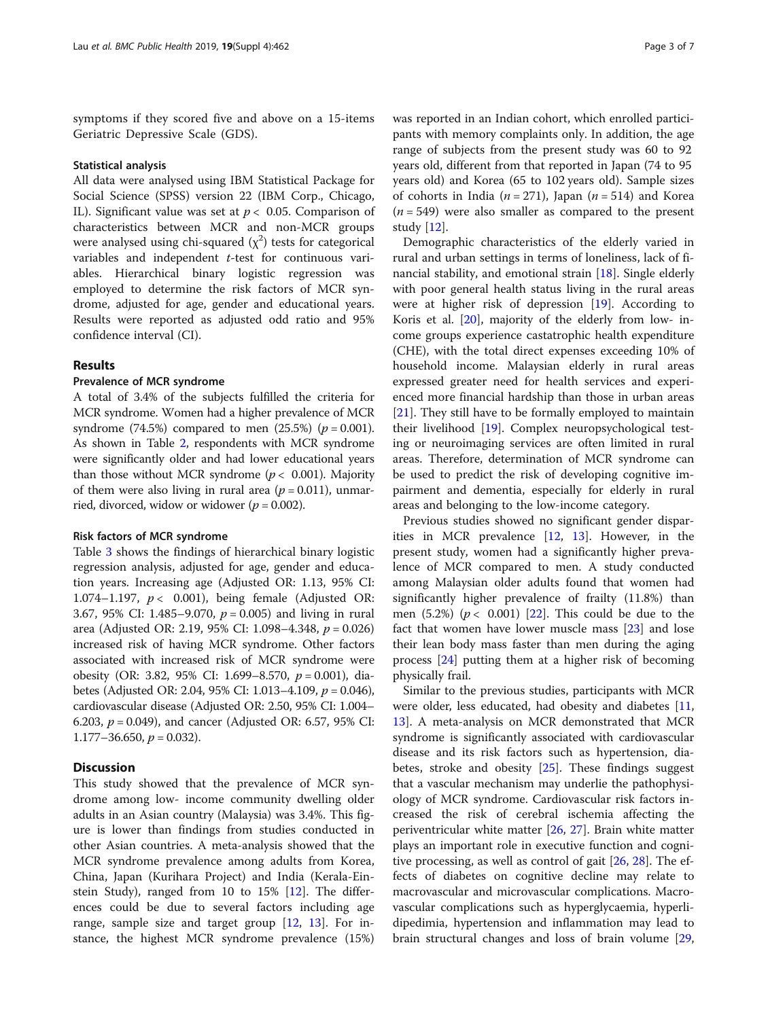symptoms if they scored five and above on a 15-items Geriatric Depressive Scale (GDS).

#### Statistical analysis

All data were analysed using IBM Statistical Package for Social Science (SPSS) version 22 (IBM Corp., Chicago, IL). Significant value was set at  $p < 0.05$ . Comparison of characteristics between MCR and non-MCR groups were analysed using chi-squared  $(\chi^2)$  tests for categorical variables and independent t-test for continuous variables. Hierarchical binary logistic regression was employed to determine the risk factors of MCR syndrome, adjusted for age, gender and educational years. Results were reported as adjusted odd ratio and 95% confidence interval (CI).

# Results

## Prevalence of MCR syndrome

A total of 3.4% of the subjects fulfilled the criteria for MCR syndrome. Women had a higher prevalence of MCR syndrome (74.5%) compared to men (25.5%) ( $p = 0.001$ ). As shown in Table [2](#page-3-0), respondents with MCR syndrome were significantly older and had lower educational years than those without MCR syndrome ( $p < 0.001$ ). Majority of them were also living in rural area ( $p = 0.011$ ), unmarried, divorced, widow or widower ( $p = 0.002$ ).

#### Risk factors of MCR syndrome

Table [3](#page-4-0) shows the findings of hierarchical binary logistic regression analysis, adjusted for age, gender and education years. Increasing age (Adjusted OR: 1.13, 95% CI: 1.074–1.197,  $p < 0.001$ ), being female (Adjusted OR: 3.67, 95% CI: 1.485–9.070,  $p = 0.005$ ) and living in rural area (Adjusted OR: 2.19, 95% CI: 1.098–4.348, p = 0.026) increased risk of having MCR syndrome. Other factors associated with increased risk of MCR syndrome were obesity (OR: 3.82, 95% CI: 1.699–8.570,  $p = 0.001$ ), diabetes (Adjusted OR: 2.04, 95% CI: 1.013–4.109, p = 0.046), cardiovascular disease (Adjusted OR: 2.50, 95% CI: 1.004– 6.203,  $p = 0.049$ ), and cancer (Adjusted OR: 6.57, 95% CI: 1.177–36.650,  $p = 0.032$ ).

# **Discussion**

This study showed that the prevalence of MCR syndrome among low- income community dwelling older adults in an Asian country (Malaysia) was 3.4%. This figure is lower than findings from studies conducted in other Asian countries. A meta-analysis showed that the MCR syndrome prevalence among adults from Korea, China, Japan (Kurihara Project) and India (Kerala-Einstein Study), ranged from 10 to 15% [\[12](#page-5-0)]. The differences could be due to several factors including age range, sample size and target group [\[12](#page-5-0), [13](#page-5-0)]. For instance, the highest MCR syndrome prevalence (15%)

was reported in an Indian cohort, which enrolled participants with memory complaints only. In addition, the age range of subjects from the present study was 60 to 92 years old, different from that reported in Japan (74 to 95 years old) and Korea (65 to 102 years old). Sample sizes of cohorts in India ( $n = 271$ ), Japan ( $n = 514$ ) and Korea  $(n = 549)$  were also smaller as compared to the present study [[12\]](#page-5-0).

Demographic characteristics of the elderly varied in rural and urban settings in terms of loneliness, lack of financial stability, and emotional strain [\[18](#page-5-0)]. Single elderly with poor general health status living in the rural areas were at higher risk of depression [\[19](#page-5-0)]. According to Koris et al. [[20\]](#page-5-0), majority of the elderly from low- income groups experience castatrophic health expenditure (CHE), with the total direct expenses exceeding 10% of household income. Malaysian elderly in rural areas expressed greater need for health services and experienced more financial hardship than those in urban areas [[21\]](#page-5-0). They still have to be formally employed to maintain their livelihood [\[19](#page-5-0)]. Complex neuropsychological testing or neuroimaging services are often limited in rural areas. Therefore, determination of MCR syndrome can be used to predict the risk of developing cognitive impairment and dementia, especially for elderly in rural areas and belonging to the low-income category.

Previous studies showed no significant gender disparities in MCR prevalence [\[12,](#page-5-0) [13\]](#page-5-0). However, in the present study, women had a significantly higher prevalence of MCR compared to men. A study conducted among Malaysian older adults found that women had significantly higher prevalence of frailty (11.8%) than men  $(5.2%) (p < 0.001)$  [[22\]](#page-5-0). This could be due to the fact that women have lower muscle mass [[23\]](#page-5-0) and lose their lean body mass faster than men during the aging process [\[24](#page-6-0)] putting them at a higher risk of becoming physically frail.

Similar to the previous studies, participants with MCR were older, less educated, had obesity and diabetes [[11](#page-5-0), [13\]](#page-5-0). A meta-analysis on MCR demonstrated that MCR syndrome is significantly associated with cardiovascular disease and its risk factors such as hypertension, diabetes, stroke and obesity [[25\]](#page-6-0). These findings suggest that a vascular mechanism may underlie the pathophysiology of MCR syndrome. Cardiovascular risk factors increased the risk of cerebral ischemia affecting the periventricular white matter [\[26,](#page-6-0) [27](#page-6-0)]. Brain white matter plays an important role in executive function and cognitive processing, as well as control of gait [[26,](#page-6-0) [28\]](#page-6-0). The effects of diabetes on cognitive decline may relate to macrovascular and microvascular complications. Macrovascular complications such as hyperglycaemia, hyperlidipedimia, hypertension and inflammation may lead to brain structural changes and loss of brain volume [[29](#page-6-0),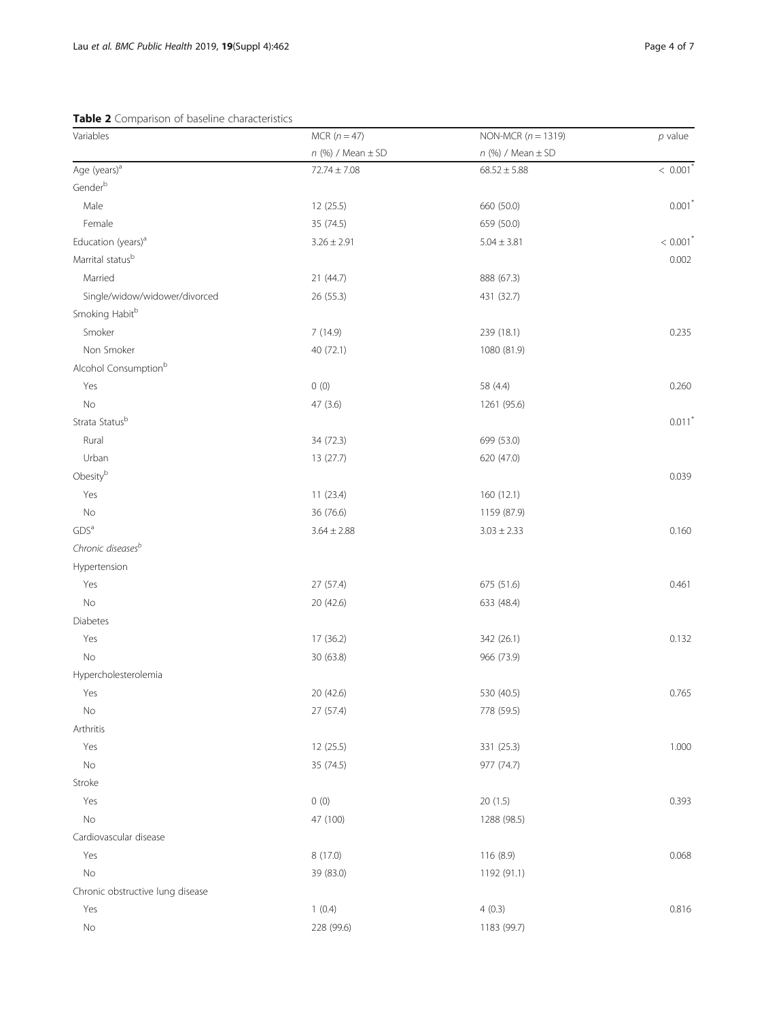<span id="page-3-0"></span>Table 2 Comparison of baseline characteristics

| Variables                        | MCR $(n = 47)$          | NON-MCR $(n = 1319)$    | $p$ value              |
|----------------------------------|-------------------------|-------------------------|------------------------|
|                                  | $n$ (%) / Mean $\pm$ SD | $n$ (%) / Mean $\pm$ SD |                        |
| Age (years) <sup>a</sup>         | $72.74 \pm 7.08$        | $68.52 \pm 5.88$        | $< 0.001$ <sup>*</sup> |
| Genderb                          |                         |                         |                        |
| Male                             | 12 (25.5)               | 660 (50.0)              | $0.001$ <sup>*</sup>   |
| Female                           | 35 (74.5)               | 659 (50.0)              |                        |
| Education (years) <sup>a</sup>   | $3.26 \pm 2.91$         | $5.04 \pm 3.81$         | $< 0.001$ <sup>*</sup> |
| Marrital status <sup>b</sup>     |                         |                         | 0.002                  |
| Married                          | 21 (44.7)               | 888 (67.3)              |                        |
| Single/widow/widower/divorced    | 26 (55.3)               | 431 (32.7)              |                        |
| Smoking Habit <sup>b</sup>       |                         |                         |                        |
| Smoker                           | 7(14.9)                 | 239 (18.1)              | 0.235                  |
| Non Smoker                       | 40 (72.1)               | 1080 (81.9)             |                        |
| Alcohol Consumption <sup>b</sup> |                         |                         |                        |
| Yes                              | 0(0)                    | 58 (4.4)                | 0.260                  |
| $\rm No$                         | 47 (3.6)                | 1261 (95.6)             |                        |
| Strata Statusb                   |                         |                         | $0.011$ <sup>*</sup>   |
| Rural                            | 34 (72.3)               | 699 (53.0)              |                        |
| Urban                            | 13(27.7)                | 620 (47.0)              |                        |
| Obesityb                         |                         |                         | 0.039                  |
| Yes                              | 11(23.4)                | 160 (12.1)              |                        |
| $\rm No$                         | 36 (76.6)               | 1159 (87.9)             |                        |
| GDS <sup>a</sup>                 | $3.64 \pm 2.88$         | $3.03 \pm 2.33$         | 0.160                  |
| Chronic diseases <sup>b</sup>    |                         |                         |                        |
| Hypertension                     |                         |                         |                        |
| Yes                              | 27(57.4)                | 675 (51.6)              | 0.461                  |
| No                               | 20 (42.6)               | 633 (48.4)              |                        |
| Diabetes                         |                         |                         |                        |
| Yes                              | 17 (36.2)               | 342 (26.1)              | 0.132                  |
| No                               | 30 (63.8)               | 966 (73.9)              |                        |
| Hypercholesterolemia             |                         |                         |                        |
| Yes                              | 20 (42.6)               | 530 (40.5)              | 0.765                  |
| No                               | 27 (57.4)               | 778 (59.5)              |                        |
| Arthritis                        |                         |                         |                        |
| Yes                              | 12 (25.5)               | 331 (25.3)              | 1.000                  |
| $\rm No$                         | 35 (74.5)               | 977 (74.7)              |                        |
| Stroke                           |                         |                         |                        |
| Yes                              | 0(0)                    | 20(1.5)                 | 0.393                  |
| $\rm No$                         | 47 (100)                | 1288 (98.5)             |                        |
| Cardiovascular disease           |                         |                         |                        |
| Yes                              | 8 (17.0)                | 116 (8.9)               | 0.068                  |
| $\rm No$                         | 39 (83.0)               | 1192 (91.1)             |                        |
| Chronic obstructive lung disease |                         |                         |                        |
| Yes                              | 1(0.4)                  | 4(0.3)                  | 0.816                  |
| $\rm No$                         | 228 (99.6)              | 1183 (99.7)             |                        |
|                                  |                         |                         |                        |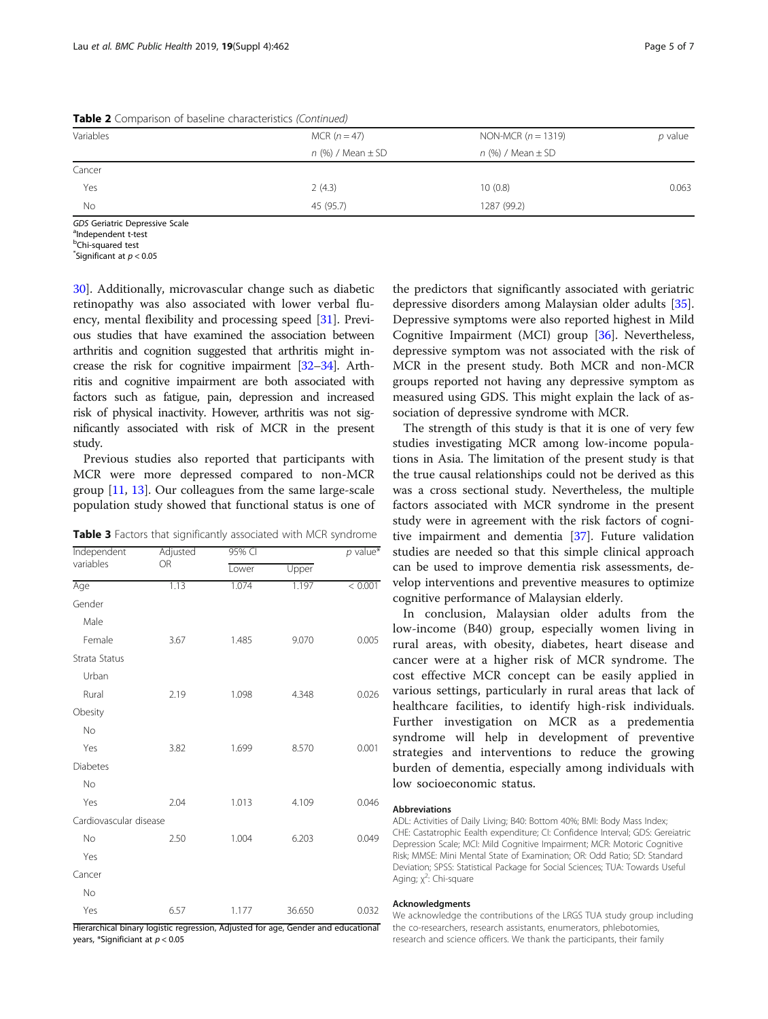| Variables | MCR $(n = 47)$          | NON-MCR $(n = 1319)$    | $p$ value |  |  |
|-----------|-------------------------|-------------------------|-----------|--|--|
|           | $n$ (%) / Mean $\pm$ SD | $n$ (%) / Mean $\pm$ SD |           |  |  |
| Cancer    |                         |                         |           |  |  |
| Yes       | 2(4.3)                  | 10(0.8)                 | 0.063     |  |  |
| No        | 45 (95.7)               | 1287 (99.2)             |           |  |  |

<span id="page-4-0"></span>Table 2 Comparison of baseline characteristics (Continued)

GDS Geriatric Depressive Scale

a<sub>Independent t-test</sub>

<sup>b</sup>Chi-squared test

 $\checkmark$ Significant at  $p < 0.05$ 

[30\]](#page-6-0). Additionally, microvascular change such as diabetic retinopathy was also associated with lower verbal fluency, mental flexibility and processing speed [\[31](#page-6-0)]. Previous studies that have examined the association between arthritis and cognition suggested that arthritis might increase the risk for cognitive impairment [[32](#page-6-0)–[34](#page-6-0)]. Arthritis and cognitive impairment are both associated with factors such as fatigue, pain, depression and increased risk of physical inactivity. However, arthritis was not significantly associated with risk of MCR in the present study.

Previous studies also reported that participants with MCR were more depressed compared to non-MCR group [\[11,](#page-5-0) [13\]](#page-5-0). Our colleagues from the same large-scale population study showed that functional status is one of

Table 3 Factors that significantly associated with MCR syndrome

| Independent<br>variables | Adjusted<br><b>OR</b> | 95% CI |        |         |
|--------------------------|-----------------------|--------|--------|---------|
|                          |                       | Lower  | Upper  |         |
| Age                      | 1.13                  | 1.074  | 1.197  | < 0.001 |
| Gender                   |                       |        |        |         |
| Male                     |                       |        |        |         |
| Female                   | 3.67                  | 1.485  | 9.070  | 0.005   |
| Strata Status            |                       |        |        |         |
| Urban                    |                       |        |        |         |
| Rural                    | 2.19                  | 1.098  | 4.348  | 0.026   |
| Obesity                  |                       |        |        |         |
| No                       |                       |        |        |         |
| Yes                      | 3.82                  | 1.699  | 8.570  | 0.001   |
| <b>Diabetes</b>          |                       |        |        |         |
| <b>No</b>                |                       |        |        |         |
| Yes                      | 2.04                  | 1.013  | 4.109  | 0.046   |
| Cardiovascular disease   |                       |        |        |         |
| No                       | 2.50                  | 1.004  | 6.203  | 0.049   |
| Yes                      |                       |        |        |         |
| Cancer                   |                       |        |        |         |
| No                       |                       |        |        |         |
| Yes                      | 6.57                  | 1.177  | 36.650 | 0.032   |

Hierarchical binary logistic regression, Adjusted for age, Gender and educational years, \*Significiant at  $p < 0.05$ 

the predictors that significantly associated with geriatric depressive disorders among Malaysian older adults [\[35](#page-6-0)]. Depressive symptoms were also reported highest in Mild Cognitive Impairment (MCI) group [\[36](#page-6-0)]. Nevertheless, depressive symptom was not associated with the risk of MCR in the present study. Both MCR and non-MCR groups reported not having any depressive symptom as measured using GDS. This might explain the lack of association of depressive syndrome with MCR.

The strength of this study is that it is one of very few studies investigating MCR among low-income populations in Asia. The limitation of the present study is that the true causal relationships could not be derived as this was a cross sectional study. Nevertheless, the multiple factors associated with MCR syndrome in the present study were in agreement with the risk factors of cognitive impairment and dementia [\[37](#page-6-0)]. Future validation studies are needed so that this simple clinical approach can be used to improve dementia risk assessments, develop interventions and preventive measures to optimize cognitive performance of Malaysian elderly.

In conclusion, Malaysian older adults from the low-income (B40) group, especially women living in rural areas, with obesity, diabetes, heart disease and cancer were at a higher risk of MCR syndrome. The cost effective MCR concept can be easily applied in various settings, particularly in rural areas that lack of healthcare facilities, to identify high-risk individuals. Further investigation on MCR as a predementia syndrome will help in development of preventive strategies and interventions to reduce the growing burden of dementia, especially among individuals with low socioeconomic status.

#### Abbreviations

ADL: Activities of Daily Living; B40: Bottom 40%; BMI: Body Mass Index; CHE: Castatrophic Eealth expenditure; CI: Confidence Interval; GDS: Gereiatric Depression Scale; MCI: Mild Cognitive Impairment; MCR: Motoric Cognitive Risk; MMSE: Mini Mental State of Examination; OR: Odd Ratio; SD: Standard Deviation; SPSS: Statistical Package for Social Sciences; TUA: Towards Useful Aging; χ<sup>2</sup>: Chi-square

#### Acknowledgments

We acknowledge the contributions of the LRGS TUA study group including the co-researchers, research assistants, enumerators, phlebotomies, research and science officers. We thank the participants, their family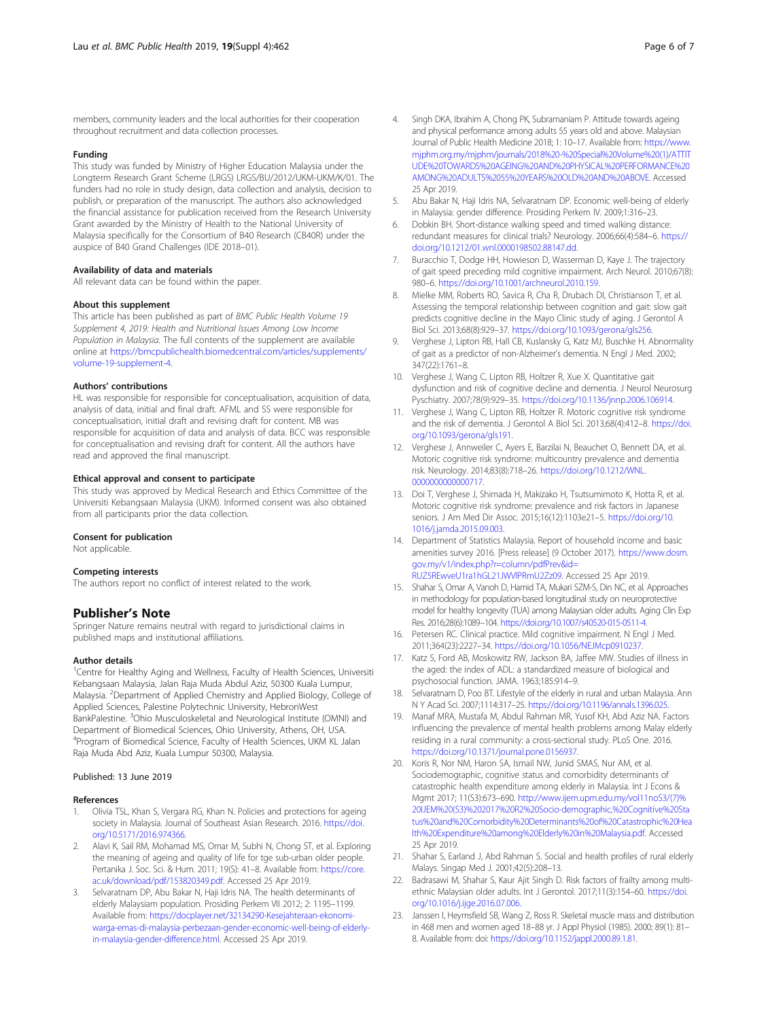<span id="page-5-0"></span>members, community leaders and the local authorities for their cooperation throughout recruitment and data collection processes.

#### Funding

This study was funded by Ministry of Higher Education Malaysia under the Longterm Research Grant Scheme (LRGS) LRGS/BU/2012/UKM-UKM/K/01. The funders had no role in study design, data collection and analysis, decision to publish, or preparation of the manuscript. The authors also acknowledged the financial assistance for publication received from the Research University Grant awarded by the Ministry of Health to the National University of Malaysia specifically for the Consortium of B40 Research (CB40R) under the auspice of B40 Grand Challenges (IDE 2018–01).

#### Availability of data and materials

All relevant data can be found within the paper.

#### About this supplement

This article has been published as part of BMC Public Health Volume 19 Supplement 4, 2019: Health and Nutritional Issues Among Low Income Population in Malaysia. The full contents of the supplement are available online at [https://bmcpublichealth.biomedcentral.com/articles/supplements/](https://bmcpublichealth.biomedcentral.com/articles/supplements/volume-19-supplement-4) [volume-19-supplement-4](https://bmcpublichealth.biomedcentral.com/articles/supplements/volume-19-supplement-4).

#### Authors' contributions

HL was responsible for responsible for conceptualisation, acquisition of data, analysis of data, initial and final draft. AFML and SS were responsible for conceptualisation, initial draft and revising draft for content. MB was responsible for acquisition of data and analysis of data. BCC was responsible for conceptualisation and revising draft for content. All the authors have read and approved the final manuscript.

#### Ethical approval and consent to participate

This study was approved by Medical Research and Ethics Committee of the Universiti Kebangsaan Malaysia (UKM). Informed consent was also obtained from all participants prior the data collection.

#### Consent for publication

Not applicable.

#### Competing interests

The authors report no conflict of interest related to the work.

# Publisher's Note

Springer Nature remains neutral with regard to jurisdictional claims in published maps and institutional affiliations.

#### Author details

<sup>1</sup>Centre for Healthy Aging and Wellness, Faculty of Health Sciences, Universiti Kebangsaan Malaysia, Jalan Raja Muda Abdul Aziz, 50300 Kuala Lumpur, Malaysia. <sup>2</sup>Department of Applied Chemistry and Applied Biology, College of Applied Sciences, Palestine Polytechnic University, HebronWest BankPalestine. <sup>3</sup>Ohio Musculoskeletal and Neurological Institute (OMNI) and Department of Biomedical Sciences, Ohio University, Athens, OH, USA. 4 Program of Biomedical Science, Faculty of Health Sciences, UKM KL Jalan Raja Muda Abd Aziz, Kuala Lumpur 50300, Malaysia.

#### Published: 13 June 2019

#### References

- 1. Olivia TSL, Khan S, Vergara RG, Khan N. Policies and protections for ageing society in Malaysia. Journal of Southeast Asian Research. 2016. [https://doi.](https://doi.org/10.5171/2016.974366) [org/10.5171/2016.974366](https://doi.org/10.5171/2016.974366).
- 2. Alavi K, Sail RM, Mohamad MS, Omar M, Subhi N, Chong ST, et al. Exploring the meaning of ageing and quality of life for tge sub-urban older people. Pertanika J. Soc. Sci. & Hum. 2011; 19(S): 41-8. Available from: [https://core.](https://core.ac.uk/download/pdf/153820349.pdf) [ac.uk/download/pdf/153820349.pdf](https://core.ac.uk/download/pdf/153820349.pdf). Accessed 25 Apr 2019.
- Selvaratnam DP, Abu Bakar N, Haji Idris NA. The health determinants of elderly Malaysiam population. Prosiding Perkem VII 2012; 2: 1195–1199. Available from: [https://docplayer.net/32134290-Kesejahteraan-ekonomi](https://docplayer.net/32134290-Kesejahteraan-ekonomi-warga-emas-di-malaysia-perbezaan-gender-economic-well-being-of-elderly-in-malaysia-gender-difference.html)[warga-emas-di-malaysia-perbezaan-gender-economic-well-being-of-elderly](https://docplayer.net/32134290-Kesejahteraan-ekonomi-warga-emas-di-malaysia-perbezaan-gender-economic-well-being-of-elderly-in-malaysia-gender-difference.html)[in-malaysia-gender-difference.html](https://docplayer.net/32134290-Kesejahteraan-ekonomi-warga-emas-di-malaysia-perbezaan-gender-economic-well-being-of-elderly-in-malaysia-gender-difference.html). Accessed 25 Apr 2019.
- 4. Singh DKA, Ibrahim A, Chong PK, Subramaniam P. Attitude towards ageing and physical performance among adults 55 years old and above. Malaysian Journal of Public Health Medicine 2018; 1: 10–17. Available from: [https://www.](https://www.mjphm.org.my/mjphm/journals/2018%20-%20Special%20Volume%20(1)/ATTITUDE%20TOWARDS%20AGEING%20AND%20PHYSICAL%20PERFORMANCE%20AMONG%20ADULTS%2055%20YEARS%20OLD%20AND%20ABOVE) [mjphm.org.my/mjphm/journals/2018%20-%20Special%20Volume%20\(1\)/ATTIT](https://www.mjphm.org.my/mjphm/journals/2018%20-%20Special%20Volume%20(1)/ATTITUDE%20TOWARDS%20AGEING%20AND%20PHYSICAL%20PERFORMANCE%20AMONG%20ADULTS%2055%20YEARS%20OLD%20AND%20ABOVE) [UDE%20TOWARDS%20AGEING%20AND%20PHYSICAL%20PERFORMANCE%20](https://www.mjphm.org.my/mjphm/journals/2018%20-%20Special%20Volume%20(1)/ATTITUDE%20TOWARDS%20AGEING%20AND%20PHYSICAL%20PERFORMANCE%20AMONG%20ADULTS%2055%20YEARS%20OLD%20AND%20ABOVE) [AMONG%20ADULTS%2055%20YEARS%20OLD%20AND%20ABOVE.](https://www.mjphm.org.my/mjphm/journals/2018%20-%20Special%20Volume%20(1)/ATTITUDE%20TOWARDS%20AGEING%20AND%20PHYSICAL%20PERFORMANCE%20AMONG%20ADULTS%2055%20YEARS%20OLD%20AND%20ABOVE) Accessed 25 Apr 2019.
- 5. Abu Bakar N, Haji Idris NA, Selvaratnam DP. Economic well-being of elderly in Malaysia: gender difference. Prosiding Perkem IV. 2009;1:316–23.
- Dobkin BH. Short-distance walking speed and timed walking distance: redundant measures for clinical trials? Neurology. 2006;66(4):584–6. [https://](https://doi.org/10.1212/01.wnl.0000198502.88147.dd) [doi.org/10.1212/01.wnl.0000198502.88147.dd](https://doi.org/10.1212/01.wnl.0000198502.88147.dd).
- 7. Buracchio T, Dodge HH, Howieson D, Wasserman D, Kaye J. The trajectory of gait speed preceding mild cognitive impairment. Arch Neurol. 2010;67(8): 980–6. <https://doi.org/10.1001/archneurol.2010.159>.
- 8. Mielke MM, Roberts RO, Savica R, Cha R, Drubach DI, Christianson T, et al. Assessing the temporal relationship between cognition and gait: slow gait predicts cognitive decline in the Mayo Clinic study of aging. J Gerontol A Biol Sci. 2013;68(8):929–37. <https://doi.org/10.1093/gerona/gls256>.
- 9. Verghese J, Lipton RB, Hall CB, Kuslansky G, Katz MJ, Buschke H. Abnormality of gait as a predictor of non-Alzheimer's dementia. N Engl J Med. 2002; 347(22):1761–8.
- 10. Verghese J, Wang C, Lipton RB, Holtzer R, Xue X. Quantitative gait dysfunction and risk of cognitive decline and dementia. J Neurol Neurosurg Pyschiatry. 2007;78(9):929–35. [https://doi.org/10.1136/jnnp.2006.106914.](https://doi.org/10.1136/jnnp.2006.106914)
- 11. Verghese J, Wang C, Lipton RB, Holtzer R. Motoric cognitive risk syndrome and the risk of dementia. J Gerontol A Biol Sci. 2013;68(4):412–8. [https://doi.](https://doi.org/10.1093/gerona/gls191) [org/10.1093/gerona/gls191.](https://doi.org/10.1093/gerona/gls191)
- 12. Verghese J, Annweiler C, Ayers E, Barzilai N, Beauchet O, Bennett DA, et al. Motoric cognitive risk syndrome: multicountry prevalence and dementia risk. Neurology. 2014;83(8):718–26. [https://doi.org/10.1212/WNL.](https://doi.org/10.1212/WNL.0000000000000717) [0000000000000717](https://doi.org/10.1212/WNL.0000000000000717).
- 13. Doi T, Verghese J, Shimada H, Makizako H, Tsutsumimoto K, Hotta R, et al. Motoric cognitive risk syndrome: prevalence and risk factors in Japanese seniors. J Am Med Dir Assoc. 2015;16(12):1103e21–5. [https://doi.org/10.](https://doi.org/10.1016/j.jamda.2015.09.003) [1016/j.jamda.2015.09.003](https://doi.org/10.1016/j.jamda.2015.09.003).
- 14. Department of Statistics Malaysia. Report of household income and basic amenities survey 2016. [Press release] (9 October 2017). [https://www.dosm.](https://www.dosm.gov.my/v1/index.php?r=column/pdfPrev&id=RUZ5REwveU1ra1hGL21JWVlPRmU2Zz09) [gov.my/v1/index.php?r=column/pdfPrev&id=](https://www.dosm.gov.my/v1/index.php?r=column/pdfPrev&id=RUZ5REwveU1ra1hGL21JWVlPRmU2Zz09) [RUZ5REwveU1ra1hGL21JWVlPRmU2Zz09.](https://www.dosm.gov.my/v1/index.php?r=column/pdfPrev&id=RUZ5REwveU1ra1hGL21JWVlPRmU2Zz09) Accessed 25 Apr 2019.
- 15. Shahar S, Omar A, Vanoh D, Hamid TA, Mukari SZM-S, Din NC, et al. Approaches in methodology for population-based longitudinal study on neuroprotective model for healthy longevity (TUA) among Malaysian older adults. Aging Clin Exp Res. 2016;28(6):1089–104. [https://doi.org/10.1007/s40520-015-0511-4.](https://doi.org/10.1007/s40520-015-0511-4)
- 16. Petersen RC. Clinical practice. Mild cognitive impairment. N Engl J Med. 2011;364(23):2227–34. [https://doi.org/10.1056/NEJMcp0910237.](https://doi.org/10.1056/NEJMcp0910237)
- 17. Katz S, Ford AB, Moskowitz RW, Jackson BA, Jaffee MW. Studies of illness in the aged: the index of ADL: a standardized measure of biological and psychosocial function. JAMA. 1963;185:914–9.
- 18. Selvaratnam D, Poo BT. Lifestyle of the elderly in rural and urban Malaysia. Ann N Y Acad Sci. 2007;1114:317–25. <https://doi.org/10.1196/annals.1396.025.>
- 19. Manaf MRA, Mustafa M, Abdul Rahman MR, Yusof KH, Abd Aziz NA. Factors influencing the prevalence of mental health problems among Malay elderly residing in a rural community: a cross-sectional study. PLoS One. 2016. <https://doi.org/10.1371/journal.pone.0156937.>
- 20. Koris R, Nor NM, Haron SA, Ismail NW, Junid SMAS, Nur AM, et al. Sociodemographic, cognitive status and comorbidity determinants of catastrophic health expenditure among elderly in Malaysia. Int J Econs & Mgmt 2017; 11(S3):673–690. [http://www.ijem.upm.edu.my/vol11noS3/\(7\)%](http://www.ijem.upm.edu.my/vol11noS3/(7)%20IJEM%20(S3)%202017%20R2%20Socio-demographic,%20Cognitive%20Status%20and%20Comorbidity%20Determinants%20of%20Catastrophic%20Health%20Expenditure%20among%20Elderly%20in%20Malaysia.pdf) [20IJEM%20\(S3\)%202017%20R2%20Socio-demographic,%20Cognitive%20Sta](http://www.ijem.upm.edu.my/vol11noS3/(7)%20IJEM%20(S3)%202017%20R2%20Socio-demographic,%20Cognitive%20Status%20and%20Comorbidity%20Determinants%20of%20Catastrophic%20Health%20Expenditure%20among%20Elderly%20in%20Malaysia.pdf) [tus%20and%20Comorbidity%20Determinants%20of%20Catastrophic%20Hea](http://www.ijem.upm.edu.my/vol11noS3/(7)%20IJEM%20(S3)%202017%20R2%20Socio-demographic,%20Cognitive%20Status%20and%20Comorbidity%20Determinants%20of%20Catastrophic%20Health%20Expenditure%20among%20Elderly%20in%20Malaysia.pdf) [lth%20Expenditure%20among%20Elderly%20in%20Malaysia.pdf](http://www.ijem.upm.edu.my/vol11noS3/(7)%20IJEM%20(S3)%202017%20R2%20Socio-demographic,%20Cognitive%20Status%20and%20Comorbidity%20Determinants%20of%20Catastrophic%20Health%20Expenditure%20among%20Elderly%20in%20Malaysia.pdf). Accessed 25 Apr 2019.
- 21. Shahar S, Earland J, Abd Rahman S. Social and health profiles of rural elderly Malays. Singap Med J. 2001;42(5):208–13.
- 22. Badrasawi M, Shahar S, Kaur Ajit Singh D. Risk factors of frailty among multiethnic Malaysian older adults. Int J Gerontol. 2017;11(3):154–60. [https://doi.](https://doi.org/10.1016/j.ijge.2016.07.006.) [org/10.1016/j.ijge.2016.07.006.](https://doi.org/10.1016/j.ijge.2016.07.006.)
- 23. Janssen I, Heymsfield SB, Wang Z, Ross R. Skeletal muscle mass and distribution in 468 men and women aged 18–88 yr. J Appl Physiol (1985). 2000; 89(1): 81– 8. Available from: doi: <https://doi.org/10.1152/jappl.2000.89.1.81>.